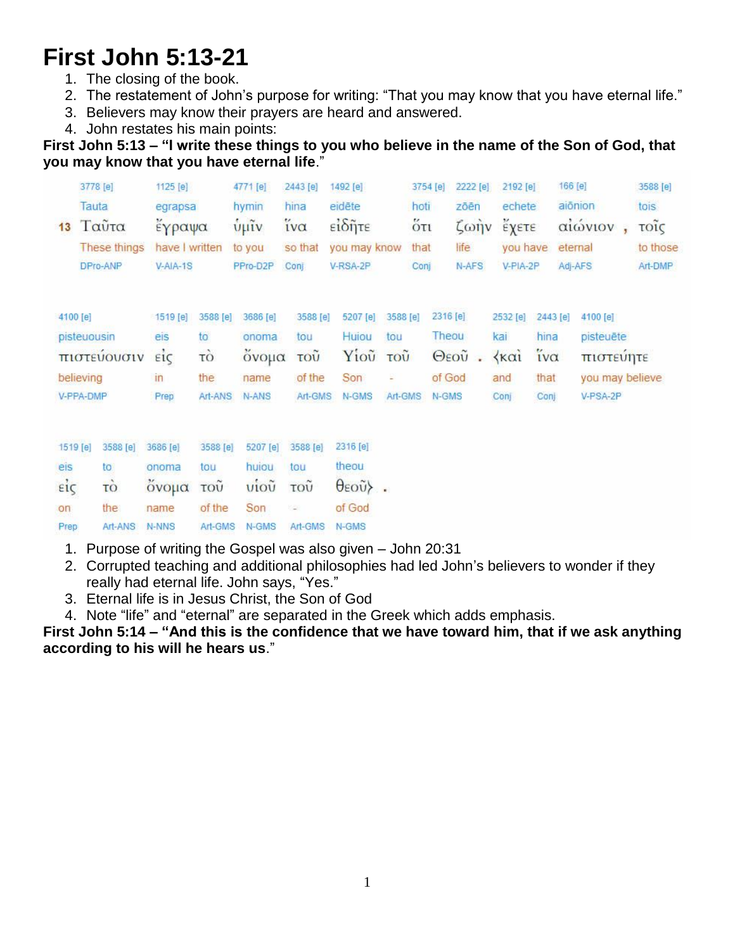## **First John 5:13-21**

- 1. The closing of the book.
- 2. The restatement of John's purpose for writing: "That you may know that you have eternal life."
- 3. Believers may know their prayers are heard and answered.
- 4. John restates his main points:

**First John 5:13 – "I write these things to you who believe in the name of the Son of God, that you may know that you have eternal life**."

|                     | 3778 [e]<br>Tauta | 1125 [e]<br>egrapsa |                | 4771 [e]<br>hymin | 2443 [e]<br>hina | 1492 [e]<br>eidēte  |          | 3754 [e]<br>hoti |          | 2222 [e]<br>zōēn               | 2192 [e]<br>echete        |          | 166 [e] | aiōnion         | 3588 [e]<br>tois |
|---------------------|-------------------|---------------------|----------------|-------------------|------------------|---------------------|----------|------------------|----------|--------------------------------|---------------------------|----------|---------|-----------------|------------------|
| 13                  | Ταύτα             | έγραψα              |                | $\frac{6}{3}$ μΐν | ίνα              | είδητε              |          | $5\tau$          |          | $\zeta$ $\omega$ $\eta$ $\vee$ | έχετε                     |          |         | αιώνιον         | τοΐς             |
|                     | These things      |                     | have I written | to you            | so that          | you may know        |          | that             |          | life                           | you have                  |          | eternal |                 | to those         |
|                     | DPro-ANP          | V-AIA-1S            |                | PPro-D2P          | Coni             | V-RSA-2P            |          | Conj             |          | N-AFS                          | V-PIA-2P                  |          |         | Adj-AFS         | Art-DMP          |
|                     |                   |                     |                |                   |                  |                     |          |                  |          |                                |                           |          |         |                 |                  |
| 4100 [e]            |                   | 1519 [e]            | 3588 [e]       | 3686 [e]          | 3588 [e]         | 5207 [e]            | 3588 [e] |                  | 2316 [e] |                                | 2532 [e]                  | 2443 [e] |         | 4100 [e]        |                  |
|                     | pisteuousin       | eis                 | to             | onoma             | tou              | Huiou               | tou      |                  | Theou    |                                | kai                       | hina     |         | pisteuëte       |                  |
|                     | πιστεύουσιν       | $\vec{e}$           | τò             | ονομα             | τοῦ              | Yiou                | τοῦ      |                  | Θεοῦ     |                                | $\langle \kappa \alpha_1$ | ΐνα      |         | πιστευητε       |                  |
|                     | believing         | $\mathsf{In}$       | the            | name              | of the           | Son                 | ÷        |                  | of God   |                                | and                       | that     |         | you may believe |                  |
|                     | V-PPA-DMP         | Prep                | Art-ANS        | N-ANS             | Art-GMS          | N-GMS               | Art-GMS  |                  | N-GMS    |                                | Conj                      | Conj     |         | V-PSA-2P        |                  |
|                     |                   |                     |                |                   |                  |                     |          |                  |          |                                |                           |          |         |                 |                  |
| 1519 <sub>[e]</sub> | 3588 [e]          | 3686 [e]            | 3588 [e]       | 5207 [e]          | 3588 [e]         | 2316 [e]            |          |                  |          |                                |                           |          |         |                 |                  |
| eis                 | to                | onoma               | tou            | huiou             | tou              | theou               |          |                  |          |                                |                           |          |         |                 |                  |
| eig                 | TO                | ονομα               | τοῦ            | vioù              | τοῦ              | $\theta$ εοῦ $\}$ . |          |                  |          |                                |                           |          |         |                 |                  |
| on                  | the               | name                | of the         | Son               | ×                | of God              |          |                  |          |                                |                           |          |         |                 |                  |
| Prep                | Art-ANS           | N-NNS               | Art-GMS        | N-GMS             | Art-GMS          | N-GMS               |          |                  |          |                                |                           |          |         |                 |                  |

- 1. Purpose of writing the Gospel was also given John 20:31
- 2. Corrupted teaching and additional philosophies had led John's believers to wonder if they really had eternal life. John says, "Yes."
- 3. Eternal life is in Jesus Christ, the Son of God
- 4. Note "life" and "eternal" are separated in the Greek which adds emphasis.

**First John 5:14 – "And this is the confidence that we have toward him, that if we ask anything according to his will he hears us**."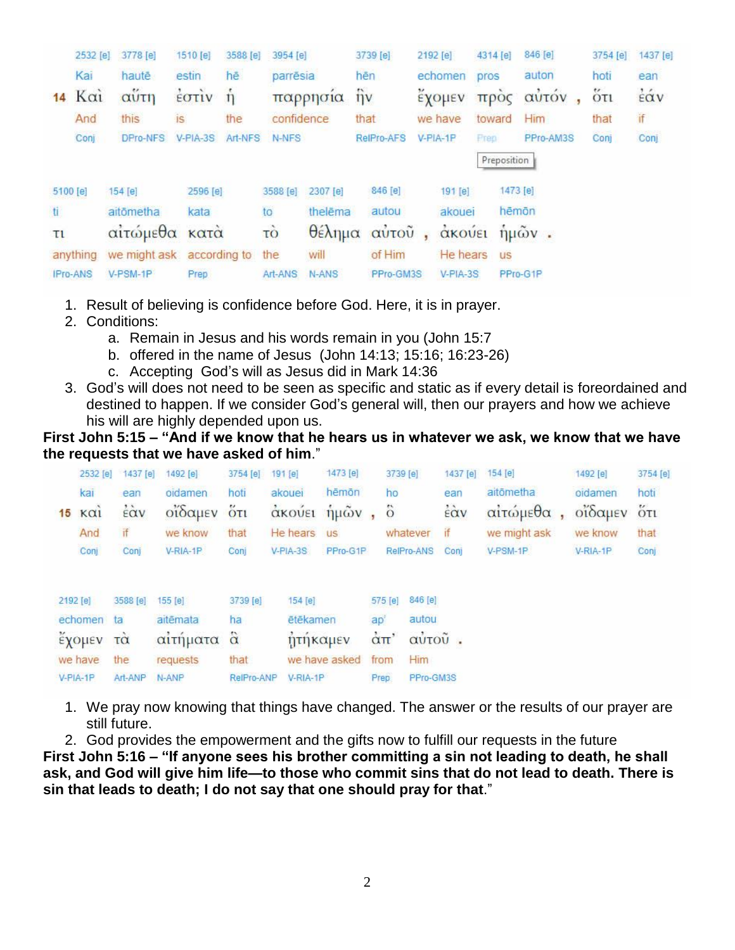|          | 2532 [e]        | 3778 [e]                      | 1510 [e]               | 3588 [e]     | 3954 [e]   |          | 3739 [e]                     |    | 2192 [e]   | 4314 [e]    | 846 [e]     | 3754 [e] | 1437 [e] |
|----------|-----------------|-------------------------------|------------------------|--------------|------------|----------|------------------------------|----|------------|-------------|-------------|----------|----------|
|          | Kai             | hautē                         | estin                  | hē           | parrēsia   |          | hēn                          |    | echomen    | pros        | auton       | hoti     | ean      |
| 14       | $K\alpha i$     | αΰτη                          | $\frac{1}{2}$ $\sigma$ | $\dot{\eta}$ |            | παρρησία | $\hat{\mathbf{n}}\mathbf{v}$ |    | έχομεν     |             | προς αυτόν  | őτι      | έάν      |
|          | And             | this                          | is                     | the          | confidence |          | that                         |    | we have    | toward      | Him         | that     | if       |
|          | Conj            | DPro-NFS                      | V-PIA-3S               | Art-NFS      | N-NFS      |          | <b>RelPro-AFS</b>            |    | V-PIA-1P   | <b>Frep</b> | PPro-AM3S   | Conj     | Conj     |
|          |                 |                               |                        |              |            |          |                              |    |            | Preposition |             |          |          |
| 5100 [e] |                 | 154 [e]                       | 2596 [e]               |              | 3588 [e]   | 2307 [e] | 846[e]                       |    | 191 [e]    |             | 1473 [e]    |          |          |
| ti.      |                 | aitōmetha                     | kata                   |              | to         | thelēma  | autou                        |    | akouei     |             | hēmōn       |          |          |
| τι       |                 | αιτώμεθα κατά                 |                        |              | τò         |          | θέλημα αυτού                 | ¥. | άκουει     |             | $\eta$ μών. |          |          |
|          | anything        | we might ask according to the |                        |              |            | will     | of Him                       |    | He hears   | <b>US</b>   |             |          |          |
|          | <b>IPro-ANS</b> | V-PSM-1P                      | Prep.                  |              | Art-ANS    | N-ANS    | PPro-GM3S                    |    | $V-PIA-3S$ |             | PPro-G1P    |          |          |

- 1. Result of believing is confidence before God. Here, it is in prayer.
- 2. Conditions:
	- a. Remain in Jesus and his words remain in you (John 15:7
	- b. offered in the name of Jesus (John 14:13; 15:16; 16:23-26)
	- c. Accepting God's will as Jesus did in Mark 14:36
- 3. God's will does not need to be seen as specific and static as if every detail is foreordained and destined to happen. If we consider God's general will, then our prayers and how we achieve his will are highly depended upon us.

**First John 5:15 – "And if we know that he hears us in whatever we ask, we know that we have the requests that we have asked of him**."

|    | 2532 [e] | 1437 [e]                          | 1492 [e] | 3754 [e]                        | 191 [e]    | 1473 [e]      |      | 3739 [e]                    |            | 1437 [e] | 154 [e]      | 1492 [e] | 3754 [e]                          |
|----|----------|-----------------------------------|----------|---------------------------------|------------|---------------|------|-----------------------------|------------|----------|--------------|----------|-----------------------------------|
|    | kai      | ean                               | oidamen  | hoti                            | akouei     | hēmōn         |      | ho                          |            | ean      | aitōmetha    | oidamen  | hoti                              |
| 15 | KQ1      | $\dot{\epsilon}$ $\dot{\alpha}$ v | οΐδαμεν  | $\ddot{\text{o}}$ <sub>Tl</sub> | άκούει     | $ημων$ ,      |      | $\ddot{\circ}$              |            | έὰν      | αίτώμεθα     | οΐδαμεν  | $\overleftrightarrow{\mathrm{O}}$ |
|    | And      | if                                | we know  | that                            | He hears   | <b>US</b>     |      |                             | whatever   | if       | we might ask | we know  | that                              |
|    | Conj     | Conj                              | V-RIA-1P | Conj                            | $V-PIA-3S$ | PPro-G1P      |      |                             | RelPro-ANS | Coni     | V-PSM-1P     | V-RIA-1P | Conj                              |
|    | 2192 [e] | 3588 [e]                          | 155 [e]  | 3739 [e]                        | 154 [e]    |               |      | 575 [e]                     | 846 [e]    |          |              |          |                                   |
|    | echomen  | ta                                | aitēmata | ha                              | ētēkamen   |               | ap'  |                             | autou      |          |              |          |                                   |
|    | εχομεν   | $\vec{r}$                         | αιτήματα | $\hat{\alpha}$                  | ήτηκαμεν   |               |      | $\alpha$ $\pi$ <sup>'</sup> | αὐτοῦ.     |          |              |          |                                   |
|    | we have  | the                               | requests | that                            |            | we have asked |      | from                        | Him        |          |              |          |                                   |
|    | V-PIA-1P | Art-ANP                           | N-ANP    | RelPro-ANP                      | V-RIA-1P   |               | Prep |                             | PPro-GM3S  |          |              |          |                                   |

- 1. We pray now knowing that things have changed. The answer or the results of our prayer are still future.
- 2. God provides the empowerment and the gifts now to fulfill our requests in the future

**First John 5:16 – "If anyone sees his brother committing a sin not leading to death, he shall ask, and God will give him life—to those who commit sins that do not lead to death. There is sin that leads to death; I do not say that one should pray for that**."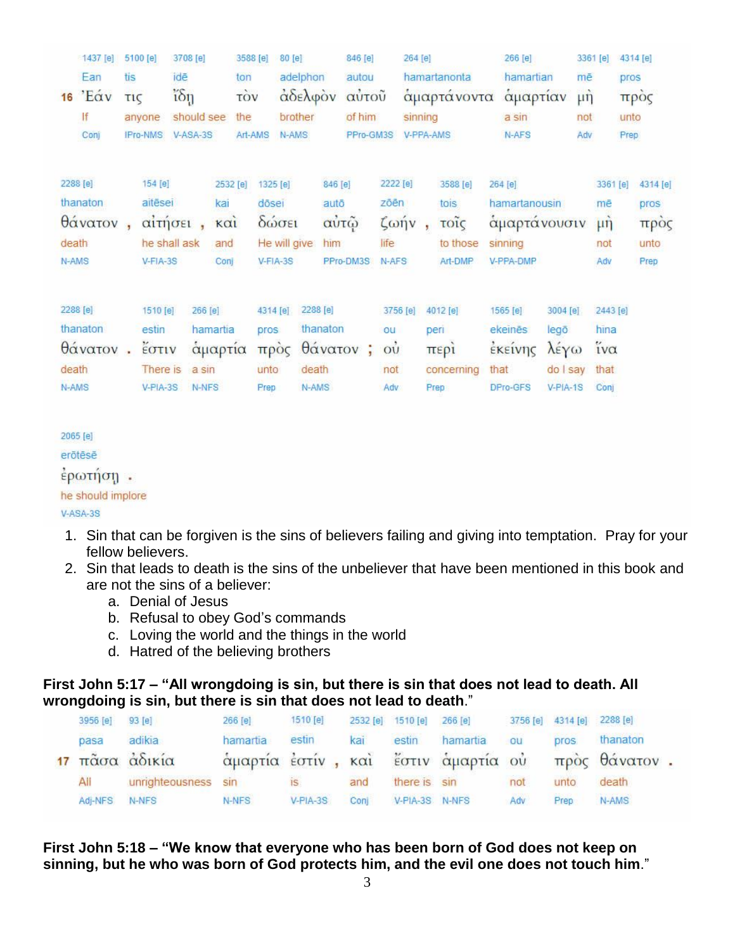|       | $1437$ [e]  |            | 5100 [e]   | 3708 [e]           |                                | 3588 [e]   |          | 80[e]               |           | 846 [e]        |                       | 264 [e]   |                             |      | 266 [e]               |                                  |               | 3361 [e]   |      | 4314 [e] |
|-------|-------------|------------|------------|--------------------|--------------------------------|------------|----------|---------------------|-----------|----------------|-----------------------|-----------|-----------------------------|------|-----------------------|----------------------------------|---------------|------------|------|----------|
| 16    | Ean<br>'Eav | tis<br>τις |            | idē<br>$i\delta$ n |                                | ton<br>τòν |          | adelphon<br>αδελφον |           | autou<br>αύτου |                       |           | hamartanonta<br>αμαρτάνοντα |      | hamartian<br>αμαρτίαν |                                  | mē<br>$\mu$ ŋ |            | pros | προς     |
|       | lf          |            | anyone     | should see         |                                | the        |          | brother             |           | of him         |                       | sinning   |                             |      | a sin                 |                                  | not           |            | unto |          |
|       | Conj        |            | IPro-NMS   | V-ASA-3S           |                                | Art-AMS    |          | N-AMS               |           | PPro-GM3S      |                       | V-PPA-AMS |                             |      | N-AFS                 |                                  | Adv           |            | Prep |          |
|       | 2288 [e]    |            | 154 [e]    |                    | 2532 [e]                       |            | 1325 [e] |                     | 846 [e]   |                | 2222 [e]              |           | 3588 [e]                    |      | 264 [e]               |                                  |               | 3361 [e]   |      | 4314 [e] |
|       | thanaton    |            | aitēsei    |                    | kai                            |            | dōsei    |                     | autō      |                | zōēn                  |           | tois                        |      | hamartanousin         |                                  |               | mē         |      | pros     |
|       | θάνατον     |            |            | αίτήσει            | $\kappa$ $\alpha$ <sub>1</sub> |            | δώσει    |                     | αὐτῷ      |                | $\zeta \omega \eta v$ |           | τοΐς                        |      | αμαρτάνουσιν          |                                  |               | $\mu$ n    |      | προς     |
| death |             |            |            | he shall ask       | and                            |            |          | He will give        | him       |                | life                  |           | to those                    |      | sinning               |                                  |               | not        |      | unto     |
| N-AMS |             |            | $V-FIA-3S$ |                    | Conj                           |            | V-FIA-3S |                     | PPro-DM3S |                | N-AFS                 |           | Art-DMP                     |      | V-PPA-DMP             |                                  |               | Adv        |      | Prep     |
|       | 2288 [e]    |            | 1510 [e]   |                    | 266 [e]                        |            | 4314 [e] | 2288 [e]            |           |                |                       | 3756 [e]  | 4012 [e]                    |      | 1565 [e]              | 3004 [e]                         |               | 2443 [e]   |      |          |
|       | thanaton    |            | estin      |                    | hamartia                       |            | pros.    |                     | thanaton  |                | ou                    |           | peri                        |      | ekeinēs               | legō                             |               | hina       |      |          |
|       | θάνατον.    |            | EOTIV      |                    | αμαρτία                        |            | προς     |                     | θάνατον;  |                | O <sub>U</sub>        |           | περι                        |      | έκεινης               | $\lambda \epsilon \gamma \omega$ |               | $iv\alpha$ |      |          |
| death |             |            | There is   |                    | a sin                          |            | unto     | death               |           |                | not                   |           | concerning                  | that |                       | do I say                         |               | that       |      |          |
| N-AMS |             |            | $V-PIA-3S$ |                    | N-NFS                          |            | Prep     | N-AMS               |           |                | Adv                   |           | Prep                        |      | <b>DPro-GFS</b>       | V-PIA-1S                         |               | Conj       |      |          |
|       |             |            |            |                    |                                |            |          |                     |           |                |                       |           |                             |      |                       |                                  |               |            |      |          |

2065 [e] erōtēsē έρωτήση. he should implore  $V-ASA-3S$ 

- 1. Sin that can be forgiven is the sins of believers failing and giving into temptation. Pray for your fellow believers.
- 2. Sin that leads to death is the sins of the unbeliever that have been mentioned in this book and are not the sins of a believer:
	- a. Denial of Jesus
	- b. Refusal to obey God's commands
	- c. Loving the world and the things in the world
	- d. Hatred of the believing brothers

## **First John 5:17 – "All wrongdoing is sin, but there is sin that does not lead to death. All wrongdoing is sin, but there is sin that does not lead to death**."

| 3956 [e] | 93 [e]          | 266 [e]  | 1510 [e]   |      | 2532 [e] 1510 [e] | 266 [e]                             |     | 3756 [e] 4314 [e] 2288 [e] |               |  |
|----------|-----------------|----------|------------|------|-------------------|-------------------------------------|-----|----------------------------|---------------|--|
| pasa     | adikia          | hamartia | estin      | kai  |                   | estin hamartia                      | ou  | pros.                      | thanaton      |  |
|          | 17 πάσα άδικία  |          |            |      |                   | άμαρτία έστίν, και έστιν άμαρτία ού |     |                            | πρὸς θάνατον. |  |
| All      | unrighteousness | sin      | IS.        | and  | there is sin      |                                     | not | unto                       | death         |  |
| Adi-NFS  | N-NFS           | N-NFS    | $V-PIA-3S$ | Conj | V-PIA-3S N-NFS    |                                     | Adv | Prep                       | N-AMS         |  |

**First John 5:18 – "We know that everyone who has been born of God does not keep on sinning, but he who was born of God protects him, and the evil one does not touch him**."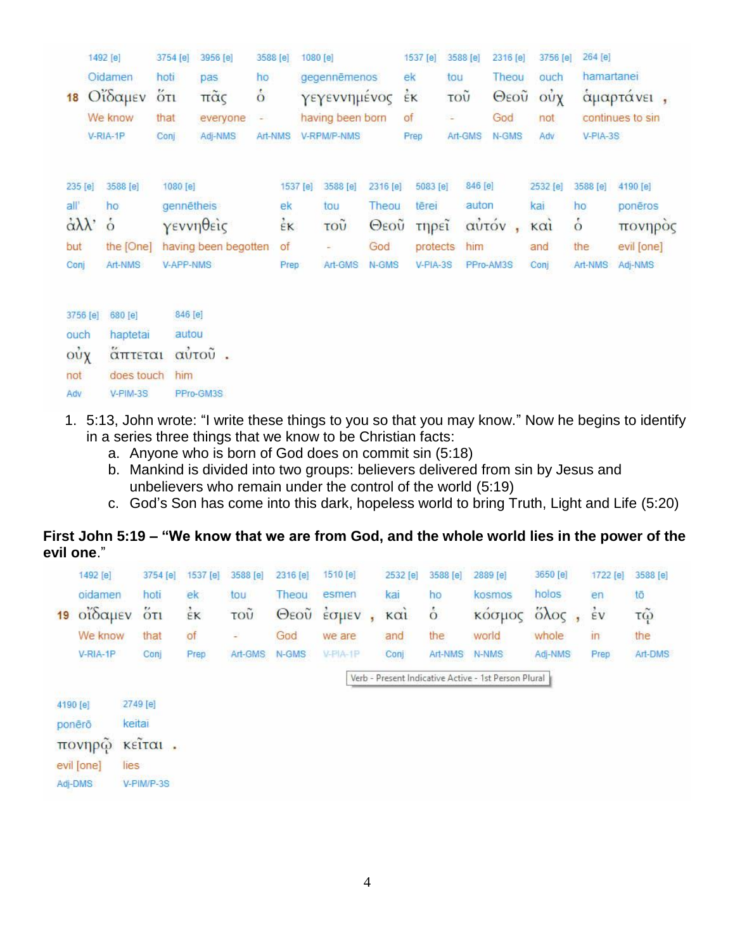|                        | 1492 [e]      | 3754 [e]   | 3956 [e]             | 3588 [e]        | 1080 [e] |                  |          | 1537 [e] | 3588 [e] | 2316 [e]  | 3756 [e]                           | 264 [e]        |                  |
|------------------------|---------------|------------|----------------------|-----------------|----------|------------------|----------|----------|----------|-----------|------------------------------------|----------------|------------------|
|                        | Oidamen       | hoti       | pas                  | ho              |          | gegennēmenos     |          | ek       | tou      | Theou     | ouch                               | hamartanei     |                  |
| 18                     | Οΐδαμεν       | $5\pi$     | πα <sub>ζ</sub>      | $\dot{\circ}$   |          | γεγεννημένος     |          | έĸ       | τοῦ      | Θεοῦ      | $\dot{\text{o} \text{u} \text{y}}$ |                | αμαρτάνει,       |
|                        | We know       | that       | everyone             | ÷.              |          | having been born |          | of       | $\equiv$ | God       | not                                |                | continues to sin |
|                        | V-RIA-1P      | Conj       | Adj-NMS              | Art-NMS         |          | V-RPM/P-NMS      |          | Prep     | Art-GMS  | N-GMS     | Adv                                | $V-PIA-3S$     |                  |
| 235 [e]                | 3588 [e]      | 1080 [e]   |                      |                 | 1537 [e] | 3588 [e]         | 2316 [e] | 5083 [e] | 846 [e]  |           | 2532 [e]                           | 3588 [e]       | 4190 [e]         |
| all'                   | ho            | gennetheis |                      | ek              |          | tou              | Theou    | tērei    | auton    |           | kai                                | ho             | ponēros          |
| $\alpha\lambda\lambda$ | $\dot{\circ}$ |            | γεννηθείς            | $\frac{1}{2}$ K |          | τοῦ              | Θεοῦ     | τηρεϊ    |          | αὐτόν,    | KCl                                | $\dot{\delta}$ | πονηρός          |
| but                    | the [One]     |            | having been begotten | of              |          | ÷                | God      | protects | him      |           | and                                | the            | evil [one]       |
| Conj                   | Art-NMS       | V-APP-NMS  |                      | Prep            |          | Art-GMS          | N-GMS    | V-PIA-3S |          | PPro-AM3S | Conj                               | Art-NMS        | Adj-NMS          |
| 3756 [e]               | 680 [e]       | 846 [e]    |                      |                 |          |                  |          |          |          |           |                                    |                |                  |
| ouch                   | haptetai      | autou      |                      |                 |          |                  |          |          |          |           |                                    |                |                  |
| $o$ ὖχ                 | απτεται       |            | αὐτοῦ.               |                 |          |                  |          |          |          |           |                                    |                |                  |
| not                    | does touch    | him        |                      |                 |          |                  |          |          |          |           |                                    |                |                  |
| Adv                    | $V-PIM-3S$    |            | PPro-GM3S            |                 |          |                  |          |          |          |           |                                    |                |                  |

- 1. 5:13, John wrote: "I write these things to you so that you may know." Now he begins to identify in a series three things that we know to be Christian facts:
	- a. Anyone who is born of God does on commit sin (5:18)
	- b. Mankind is divided into two groups: believers delivered from sin by Jesus and unbelievers who remain under the control of the world (5:19)
	- c. God's Son has come into this dark, hopeless world to bring Truth, Light and Life (5:20)

|            | First John 5:19 – "We know that we are from God, and the whole world lies in the power of the |  |  |
|------------|-----------------------------------------------------------------------------------------------|--|--|
| evil one." |                                                                                               |  |  |

|    | 1492 [e]   | 3754 [e]                         | 1537 [e] | 3588 [e] | 2316 [e]     | 1510 [e] | 2532 [e] | 3588 [e]      | 2889 [e]                                             | 3650 [e]              | 1722 [e]                | 3588 [e]               |
|----|------------|----------------------------------|----------|----------|--------------|----------|----------|---------------|------------------------------------------------------|-----------------------|-------------------------|------------------------|
|    | oidamen    | hoti                             | ek       | tou      | Theou        | esmen    | kai      | ho            | kosmos                                               | holos                 | en                      | tō                     |
| 19 | οΐδαμεν    | 5T1                              | έĸ       | τοῦ      | $\Theta$ εοῦ | Εσμεν    | KCl      | $\dot{\circ}$ | κοσμος                                               | $\partial \lambda$ oc | $\frac{1}{2}v$          | $\tilde{\mathfrak{g}}$ |
|    | We know    | that                             | of       | ×.       | God          | we are   | and      | the           | world                                                | whole                 | $\mathsf{I} \mathsf{I}$ | the                    |
|    | V-RIA-1P   | Conj                             | Prep     | Art-GMS  | N-GMS        | V-PIA-1P | Conj     | Art-NMS       | N-NMS                                                | Adj-NMS               | Prep                    | Art-DMS                |
|    |            |                                  |          |          |              |          |          |               | Verb - Present Indicative Active - 1st Person Plural |                       |                         |                        |
|    | 4190 [e]   | 2749 [e]                         |          |          |              |          |          |               |                                                      |                       |                         |                        |
|    | ponêrô     | keitai                           |          |          |              |          |          |               |                                                      |                       |                         |                        |
|    | πονηρώ     | $K \in \widetilde{IT}\alpha 1$ . |          |          |              |          |          |               |                                                      |                       |                         |                        |
|    | evil [one] | lies                             |          |          |              |          |          |               |                                                      |                       |                         |                        |
|    | Adi-DMS    | V-PIM/P-3S                       |          |          |              |          |          |               |                                                      |                       |                         |                        |